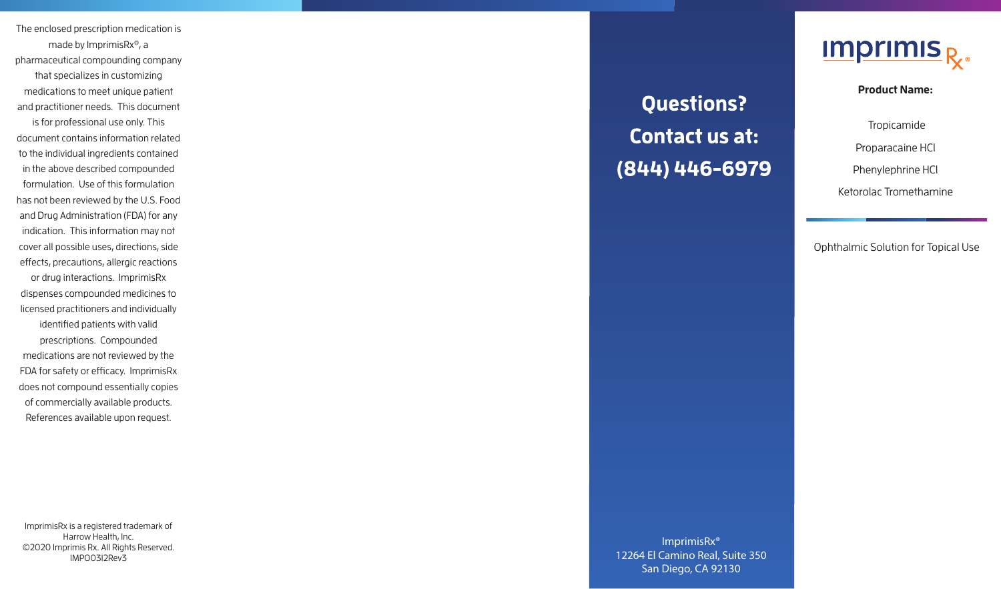The enclosed prescription medication is made by ImprimisRx ®, a pharmaceutical compounding company that specializes in customizing medications to meet unique patient and practitioner needs. This document

is for professional use only. This document contains information related to the individual ingredients contained in the above described compounded formulation. Use of this formulation has not been reviewed by the U.S. Food and Drug Administration (FDA) for any indication. This information may not cover all possible uses, directions, side effects, precautions, allergic reactions or drug interactions. ImprimisRx dispenses compounded medicines to licensed practitioners and individually identified patients with valid prescriptions. Compounded medications are not reviewed by the FDA for safety or efficacy. ImprimisRx does not compound essentially copies of commercially available products. References available upon request.

ImprimisRx is a registered trademark of Harrow Health, Inc. ©2020 Imprimis Rx. All Rights Reserved. IMPO0312Rev3

## **Questions? Contact us at:** (844) 446-6979



**Product Name:** 

Tropicamide

Proparacaine HCl

Phenylephrine HCl

Ketorolac Tromethamine

Ophthalmic Solution for Topical Use

ImprimisRx® 12264 El Camino Real, Suite 350 San Diego, CA 92130